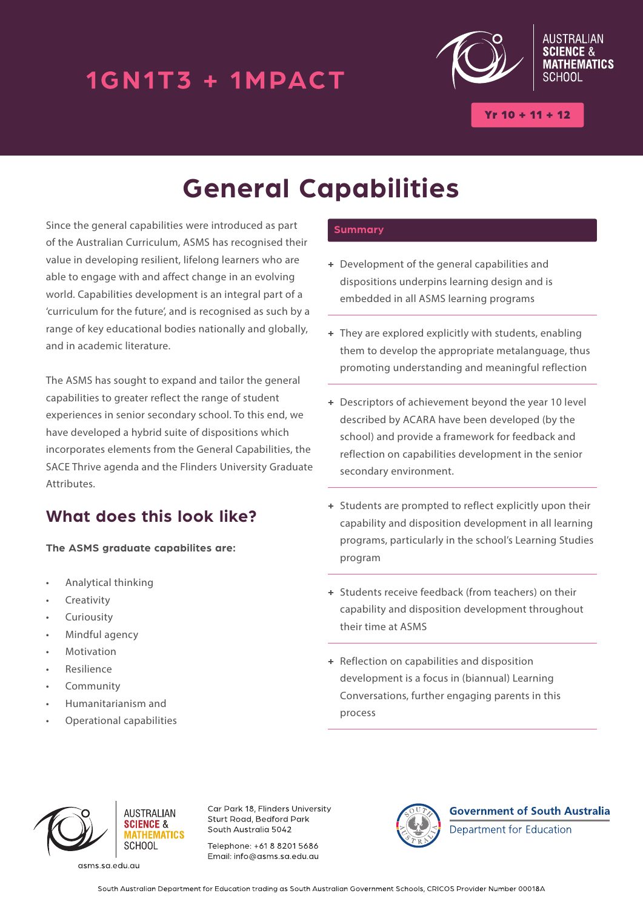## 1GN1T3 + 1MPACT



 $Yr 10 + 11 + 12$ 

# **General Capabilities**

Since the general capabilities were introduced as part of the Australian Curriculum, ASMS has recognised their value in developing resilient, lifelong learners who are able to engage with and affect change in an evolving world. Capabilities development is an integral part of a 'curriculum for the future', and is recognised as such by a range of key educational bodies nationally and globally, and in academic literature.

The ASMS has sought to expand and tailor the general capabilities to greater reflect the range of student experiences in senior secondary school. To this end, we have developed a hybrid suite of dispositions which incorporates elements from the General Capabilities, the SACE Thrive agenda and the Flinders University Graduate Attributes.

### **What does this look like?**

**The ASMS graduate capabilites are:**

- Analytical thinking
- **Creativity**
- **Curiousity**
- Mindful agency
- **Motivation**
- **Resilience**
- Community
- Humanitarianism and
- Operational capabilities

#### **Summary**

- **+** Development of the general capabilities and dispositions underpins learning design and is embedded in all ASMS learning programs
- **+** They are explored explicitly with students, enabling them to develop the appropriate metalanguage, thus promoting understanding and meaningful reflection
- **+** Descriptors of achievement beyond the year 10 level described by ACARA have been developed (by the school) and provide a framework for feedback and reflection on capabilities development in the senior secondary environment.
- **+** Students are prompted to reflect explicitly upon their capability and disposition development in all learning programs, particularly in the school's Learning Studies program
- **+** Students receive feedback (from teachers) on their capability and disposition development throughout their time at ASMS
- **+** Reflection on capabilities and disposition development is a focus in (biannual) Learning Conversations, further engaging parents in this process



asms.sa.edu.au

**AUSTRALIAN** 

*<u>ATHEMATICS</u>* SCHOOL

**SCIENCE &** 

Car Park 18, Flinders University Sturt Road, Bedford Park South Australia 5042

Telephone: +61.8.8201.5686 Email: info@asms.sa.edu.au



**Government of South Australia** Department for Education